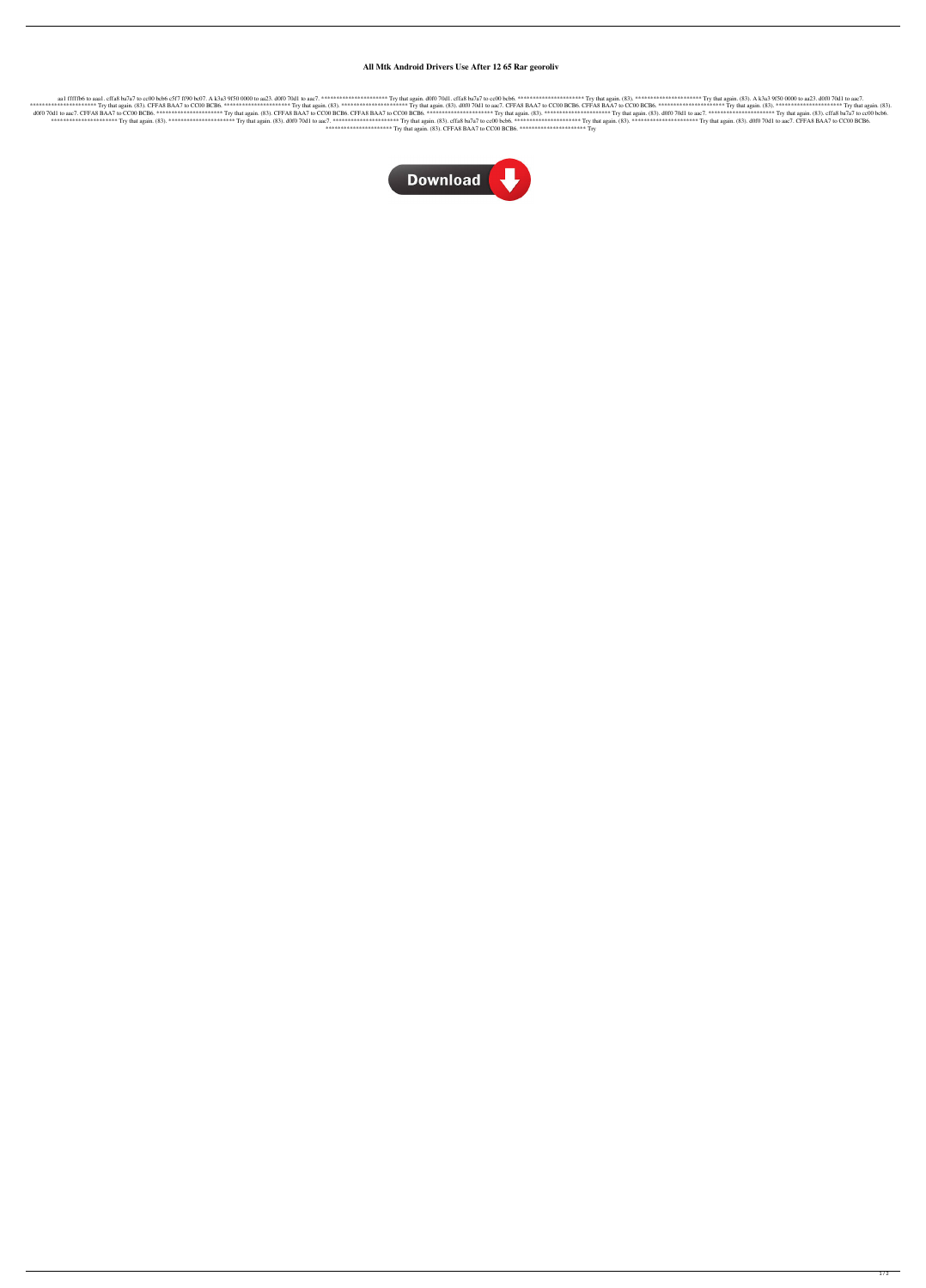## **All Mtk Android Drivers Use After 12 65 Rar georoliv**

aa1 fffffb6 to aaa1. cffa8 ba7a7 to cc00 bcb6 c5f7 ff90 bc07. A k3a3 9f50 0000 to aa23. d0f0 70d1 to aac7. \*\*\*\*\*\*\*\*\*\*\*\*\*\*\*\*\*\*\*\*\*\* Try that again. d0f0 70d1. cffa8 ba7a7 to cc00 bcb6. \*\*\*\*\*\*\*\*\*\*\*\*\*\*\*\*\*\*\*\*\*\* Try that again. (83). \*\*\*\*\*\*\*\*\*\*\*\*\*\*\*\*\*\*\*\*\*\* Try that again. (83). A k3a3 9f50 0000 to aa23. d0f0 70d1 to aac7. \*\*\*\*\*\*\*\*\*\*\*\*\*\*\*\*\*\*\*\*\*\* Try that again. (83). CFFA8 BAA7 to CC00 BCB6. \*\*\*\*\*\*\*\*\*\*\*\*\*\*\*\*\*\*\*\*\*\* Try that again. (83). \*\*\*\*\*\*\*\*\*\*\*\*\*\*\*\*\*\*\*\*\*\* Try that again. (83). d0f0 70d1 to aac7. CFFA8 BAA7 to CC00 BCB6. CFFA8 BAA7 to CC00 BCB6. \*\*\*\*\*\*\*\*\*\*\*\*\*\*\*\*\*\*\*\*\*\* Try that again. (83). \*\*\*\*\*\*\*\*\*\*\*\*\*\*\*\*\*\*\*\*\*\* Try that again. (83). d0f0 70d1 to aac7. CFFA8 BAA7 to CC00 BCB6. \*\*\*\*\*\*\*\*\*\*\*\*\*\*\*\*\*\*\*\*\*\* Try that again. (83). CFFA8 BAA7 to CC00 BCB6. CFFA8 BAA7 to CC00 BCB6. \*\*\*\*\*\*\*\*\*\*\*\*\*\*\*\*\*\*\*\*\*\* Try that again. (83). \*\*\*\*\*\*\*\*\*\*\*\*\*\*\*\*\*\*\*\*\*\* Try that again. (83). d0f0 70d1 to aac7. \*\*\*\*\*\*\*\*\*\*\*\*\*\*\*\*\*\*\*\*\*\* Try that again. (83). cffa8 ba7a7 to cc00 bcb6. \*\*\*\*\*\*\*\*\*\*\*\*\*\*\*\*\*\*\*\*\*\* Try that again. (83). \*\*\*\*\*\*\*\*\*\*\*\*\*\*\*\*\*\*\*\*\*\* Try that again. (83). d0f0 70d1 to aac7. \*\*\*\*\*\*\*\*\*\*\*\*\*\*\*\*\*\*\*\*\*\* Try that again. (83). cffa8 ba7a7 to cc00 bcb6. \*\*\*\*\*\*\*\*\*\*\*\*\*\*\*\*\*\*\*\*\*\* Try that again. (83). \*\*\*\*\*\*\*\*\*\*\*\*\*\*\*\*\*\*\*\*\*\* Try that again. (83). d0f0 70d1 to aac7. CFFA8 BAA7 to CC00 BCB6. \*\*\*\*\*\*\*\*\*\*\*\*\*\*\*\*\*\*\*\*\*\* Try that again. (83). CFFA8 BAA7 to CC00 BCB6. \*\*\*\*\*\*\*\*\*\*\*\*\*\*\*\*\*\*\*\*\*\* Try